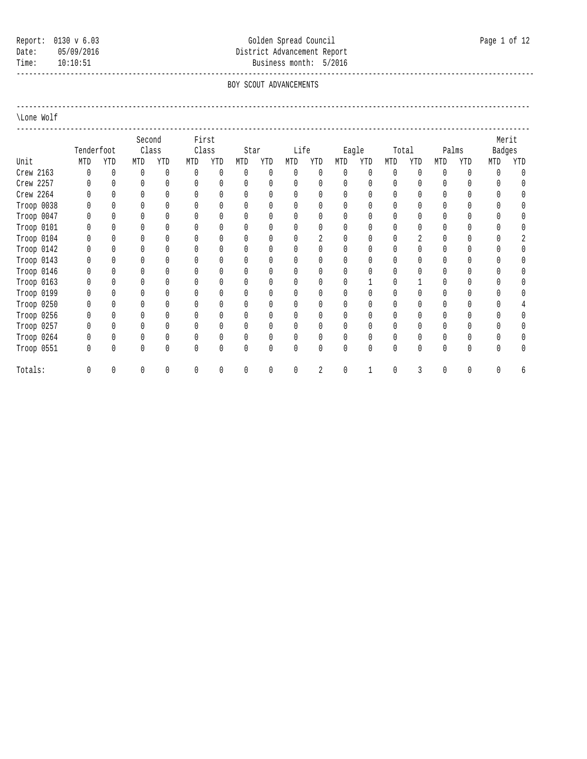# Report: 0130 v 6.03 Colden Spread Council Council Page 1 of 12 Date: 05/09/2016 05/09/2016 District Advancement Report Time: 10:10:51 Business month: 5/2016

 ----------------------------------------------------------------------------------------------------------------------------- BOY SCOUT ADVANCEMENTS

----------------------------------------------------------------------------------------------------------------------------

#### \Lone Wolf

|            |            |     | Second |     |     | First |          |          |              |              |                                 |              |              |        |              |              |        | Merit |
|------------|------------|-----|--------|-----|-----|-------|----------|----------|--------------|--------------|---------------------------------|--------------|--------------|--------|--------------|--------------|--------|-------|
|            | Tenderfoot |     | Class  |     |     | Class | Star     |          | Life         |              |                                 | Eagle        |              | Total  |              | Palms        | Badges |       |
| Unit       | MTD        | YTD | MTD    | YTD | MTD | YTD   | MTD      | YTD      | MTD          | YTD          | MTD                             | YTD          | MTD          | YTD    | MTD          | YTD          | MTD    | YTD   |
| Crew 2163  | 0          | 0   | 0      | 0   | 0   | 0     | 0        | 0        | $\mathbf{0}$ | $\mathbf{0}$ | $\mathbf{0}$                    | $\mathbf{0}$ | $\mathbf{0}$ | 0      | $\mathbf{0}$ | $\mathbf{0}$ | 0      |       |
| Crew 2257  |            |     | U      |     |     |       | $\Omega$ | 0        |              |              | $\Omega$                        | $\Omega$     |              |        |              | 0            |        |       |
| Crew 2264  |            |     |        |     |     |       |          | 0        | $\theta$     |              | $\Omega$                        | $\Omega$     | $\Omega$     |        |              | Ŋ            |        |       |
| Troop 0038 |            |     |        |     |     |       |          | $\Omega$ |              |              | $\bigcap$                       | $\Omega$     |              |        |              |              |        |       |
| Troop 0047 |            |     |        |     |     |       |          | 0        |              |              |                                 | $\Omega$     |              |        |              |              |        |       |
| Troop 0101 |            |     |        |     |     |       |          | 0        |              |              | $\begin{matrix} \n\end{matrix}$ | $\Omega$     |              |        |              |              |        |       |
| Troop 0104 |            |     |        |     |     |       |          | 0        |              | $\gamma$     | $\bigcap$                       | $\Omega$     |              | $\sim$ |              |              |        |       |
| Troop 0142 |            |     |        |     |     |       |          | 0        |              |              |                                 | $\Omega$     |              |        |              |              |        |       |
| Troop 0143 |            |     |        |     |     |       |          | 0        |              |              | ſ                               | $\Omega$     |              |        |              |              |        |       |
| Troop 0146 |            |     |        |     |     |       |          | 0        |              |              | $\Omega$                        | $\Omega$     |              |        |              |              |        |       |
| Troop 0163 |            |     |        |     |     |       |          | 0        |              |              | U                               |              |              |        |              |              |        |       |
| Troop 0199 |            |     |        |     |     |       |          | 0        |              |              | ſ                               |              |              |        |              | Ŋ            |        |       |
| Troop 0250 |            |     |        |     |     |       |          | 0        |              |              | $\begin{matrix} \n\end{matrix}$ | $\theta$     |              |        |              |              |        |       |
| Troop 0256 |            |     |        |     |     |       |          | 0        |              |              | U                               | $\Omega$     |              |        |              |              |        |       |
| Troop 0257 |            |     |        |     |     |       |          | 0        |              |              | $\Omega$                        | $\Omega$     |              |        |              | Λ            |        |       |
| Troop 0264 |            |     |        |     |     |       |          | 0        |              |              | $\theta$                        | 0            |              |        |              |              |        |       |
| Troop 0551 | 0          |     |        | Ŋ   |     |       | $\Omega$ | 0        | $\theta$     | $\theta$     | $\bigcap$                       | $\Omega$     | $\cup$       |        |              | 0            |        |       |
| Totals:    |            |     |        | U   |     |       |          | 0        | $\theta$     |              |                                 |              |              |        |              | 0            |        |       |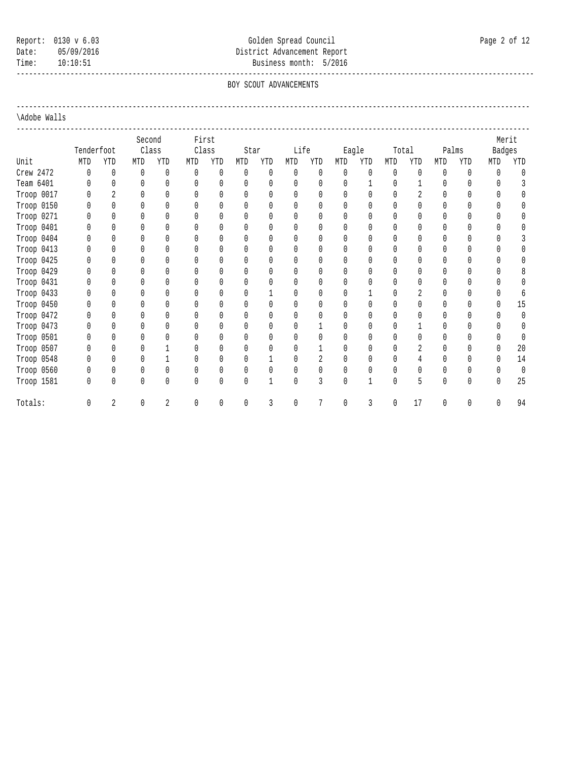# Report: 0130 v 6.03 Colden Spread Council Council Page 2 of 12 Date: 05/09/2016 05/09/2016 District Advancement Report Time: 10:10:51 Business month: 5/2016

 ----------------------------------------------------------------------------------------------------------------------------- BOY SCOUT ADVANCEMENTS

----------------------------------------------------------------------------------------------------------------------------

### \Adobe Walls

|            |            |                          | Second |                |          | First    |              |              |              |                |              |          |              |                |              |          |              | Merit    |
|------------|------------|--------------------------|--------|----------------|----------|----------|--------------|--------------|--------------|----------------|--------------|----------|--------------|----------------|--------------|----------|--------------|----------|
|            | Tenderfoot |                          | Class  |                |          | Class    | Star         |              | Life         |                |              | Eagle    |              | Total          |              | Palms    | Badges       |          |
| Unit       | MTD        | YTD                      | MTD    | YTD            | MTD      | YTD      | MTD          | YTD          | MTD          | YTD            | MTD          | YTD      | MTD          | YTD            | MTD          | YTD      | MTD          | YTD      |
| Crew 2472  | 0          | 0                        | 0      | $\mathbf{0}$   | 0        | 0        | $\theta$     | 0            | $\mathbf{0}$ | $\mathbf{0}$   | $\Omega$     | $\theta$ | $\theta$     | $\theta$       | $\Omega$     | 0        | 0            | $\Omega$ |
| Team 6401  |            | $\Omega$                 | 0      | $\Omega$       | $\Omega$ | $\Omega$ | $\mathbf{0}$ | $\mathbf{0}$ | $\mathbf{0}$ | $\Omega$       | $\Omega$     |          | 0            |                | 0            | 0        | $\bigcap$    | 3        |
| Troop 0017 |            | $\overline{\mathcal{L}}$ | Λ      | Λ              |          | U        | $\mathbf{0}$ | $\mathbf{0}$ | $\bigcap$    | $\bigcap$      | $\Omega$     | 0        | U            |                | $\cap$       | $\Omega$ | $\cap$       |          |
| Troop 0150 |            |                          |        | U              |          | U        | $\theta$     | $\theta$     | $\bigcap$    | $\cup$         | U            | U        | U            | U              | $\cap$       | U        |              |          |
| Troop 0271 |            |                          |        |                |          | U        | $\bigcap$    | $\theta$     | $\bigcap$    | $\bigcap$      | U.           | $\Omega$ | $\cap$       | $\cap$         | $\cap$       | U        |              |          |
| Troop 0401 |            |                          |        | Ŋ              |          |          | $\theta$     | $\theta$     | $\theta$     | $\theta$       |              | 0        | 0            | U              |              | $\Omega$ |              |          |
| Troop 0404 |            |                          |        | $\Omega$       |          |          | $\Omega$     | $\theta$     | $\Omega$     | $\Omega$       | $\Omega$     | $\Omega$ | $\Omega$     | $\Omega$       | $\Omega$     | 0        | $\Omega$     |          |
| Troop 0413 |            |                          |        | Ŋ              |          |          | $\Omega$     | 0            | $\theta$     | $\theta$       |              | 0        | 0            | 0              |              | 0        |              | 0        |
| Troop 0425 |            |                          |        |                |          |          | $\theta$     | $\theta$     | $\bigcap$    |                | <sup>n</sup> | 0        | $\Omega$     | U              |              | 0        | 0            | $\Omega$ |
| Troop 0429 |            |                          |        | Ŋ              |          |          | $\Omega$     | $\theta$     | $\theta$     | $\bigcap$      | O.           | 0        | 0            | U              |              | 0        |              | 8        |
| Troop 0431 |            |                          |        |                |          |          | U            | Λ            | $\bigcap$    |                |              |          |              |                | <sup>0</sup> | U        |              |          |
| Troop 0433 |            |                          |        |                |          |          | U            |              |              |                |              |          |              |                |              | U        | $\Omega$     |          |
| Troop 0450 |            | $\Omega$                 | Λ      | Λ              |          | U        | 0            | $\bigcap$    | $\theta$     | $\bigcap$      | U            | U        | U            |                | $\Omega$     | U        | $\Omega$     | 15       |
| Troop 0472 |            |                          |        |                |          | U        | $\theta$     | $\theta$     | $\theta$     | $\cap$         | U            | U        | U            | U              | Λ            | U        | $\Omega$     | 0        |
| Troop 0473 |            |                          |        | Λ              |          |          | $\theta$     | $\theta$     | $\bigcap$    |                | U            | 0        | U            |                | $\cap$       | $\Omega$ | <sup>n</sup> | $\Omega$ |
| Troop 0501 |            |                          |        |                |          |          | $\theta$     | $\theta$     | $\bigcap$    | $\bigcap$      | <sup>n</sup> | 0        | $\Omega$     | $\cap$         | $\cap$       | U        | $\Omega$     | $\Omega$ |
| Troop 0507 |            |                          |        |                |          |          | $\theta$     | $\theta$     | $\theta$     |                |              | 0        | 0            | $\mathfrak{D}$ | $\Omega$     | 0        | $\Omega$     | 20       |
| Troop 0548 |            |                          |        |                |          |          | $\theta$     |              | $\Omega$     | $\overline{2}$ |              | $\Omega$ | $\Omega$     |                | $\Omega$     | U        | $\Omega$     | 14       |
| Troop 0560 |            | 0                        | 0      | 0              |          | 0        | 0            | 0            | 0            | $\mathbf{0}$   | $\Omega$     | 0        | 0            | 0              | 0            | 0        | 0            | 0        |
| Troop 1581 | 0          | 0                        | 0      | 0              | 0        | $\Omega$ | $\mathbf{0}$ | 1            | $\mathbf{0}$ | 3              | $\Omega$     | 1        | $\mathbf{0}$ | 5              | 0            | 0        | 0            | 25       |
| Totals:    | U          | $\overline{2}$           | 0      | $\overline{a}$ | $\Omega$ | 0        | 0            | 3            | $\theta$     |                | $\Omega$     | 3        | N            | 17             | $\Omega$     | 0        | 0            | 94       |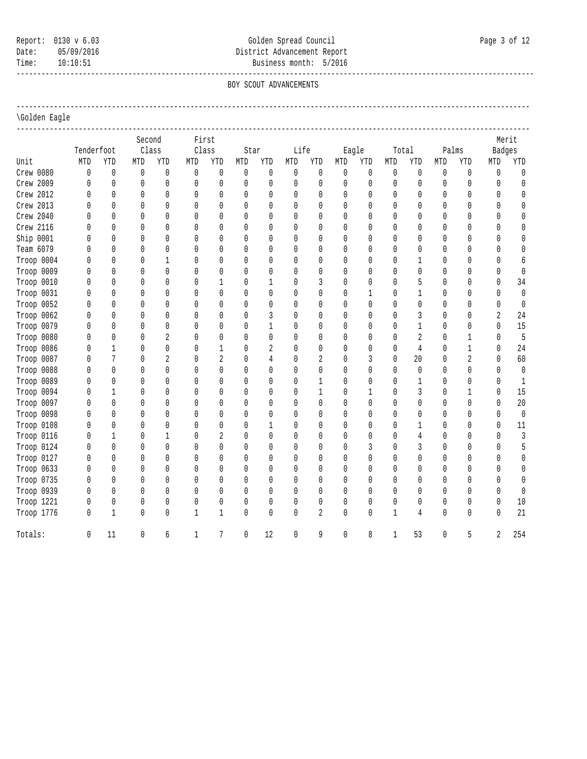# Report: 0130 v 6.03 Colden Spread Council Council Page 3 of 12 Date: 05/09/2016 02010 District Advancement Report Time: 10:10:51 Business month: 5/2016

 ----------------------------------------------------------------------------------------------------------------------------- BOY SCOUT ADVANCEMENTS

----------------------------------------------------------------------------------------------------------------------------

### \Golden Eagle

|            |                                  |              | Second |                | First        |                |              |              |              |                |              |       |              |              |              |       |                | Merit            |
|------------|----------------------------------|--------------|--------|----------------|--------------|----------------|--------------|--------------|--------------|----------------|--------------|-------|--------------|--------------|--------------|-------|----------------|------------------|
|            | Tenderfoot                       |              | Class  |                |              | Class          | Star         |              | Life         |                |              | Eagle |              | Total        |              | Palms | Badges         |                  |
| Unit       | MTD                              | YTD          | MTD    | YTD            | MTD          | YTD            | MTD          | YTD          | MTD          | <b>YTD</b>     | MTD          | YTD   | MTD          | YTD          | MTD          | YTD   | MTD            | YTD              |
| Crew 0080  | 0                                | $\mathbb O$  | 0      | $\mathbf 0$    | 0            | 0              | 0            | 0            | 0            | 0              | $\mathbf 0$  | 0     | $\theta$     | $\mathbf 0$  | 0            | 0     | 0              | $\mathbf 0$      |
| Crew 2009  | $\mathbf{0}$                     | 0            | 0      | $\mathbf{0}$   | 0            | $\mathbf{0}$   | 0            | 0            | $\mathbf{0}$ | $\mathbf{0}$   | 0            | 0     | $\theta$     | $\mathbf{0}$ | 0            | 0     | $\mathbf{0}$   | $\mathbb O$      |
| Crew 2012  | $\mathbf{0}$                     | 0            | 0      | $\mathbf{0}$   | 0            | $\mathbf{0}$   | 0            | $\mathbf 0$  | 0            | $\mathbf{0}$   | 0            | 0     | 0            | $\mathbf{0}$ | $\mathbf{0}$ | 0     | 0              | $\mathbb O$      |
| Crew 2013  | <sup>0</sup>                     | $\mathbf{0}$ | 0      | $\mathbf{0}$   | $\mathbf{0}$ | $\mathbf{0}$   | 0            | $\mathbf{0}$ | $\mathbf{0}$ | $\Omega$       | $\Omega$     | 0     | $\theta$     | $\Omega$     | 0            | 0     | $\mathbf{0}$   | $\mathbb O$      |
| Crew 2040  | <sup>0</sup>                     | $\mathbf{0}$ | 0      | $\mathbf{0}$   | $\Omega$     | $\Omega$       | 0            | $\mathbf{0}$ | $\mathbf{0}$ | $\Omega$       | $\Omega$     | 0     | $\theta$     | $\Omega$     | $\mathbf{0}$ | 0     | $\mathbf{0}$   | $\mathbb O$      |
| Crew 2116  | <sup>0</sup>                     | $\mathbf{0}$ | 0      | 0              | 0            | $\Omega$       | 0            | $\mathbf{0}$ | 0            | $\mathbf{0}$   | 0            | 0     | $\theta$     | 0            | 0            | 0     | $\mathbf{0}$   | $\mathbb O$      |
| Ship 0001  | $\theta$                         | $\mathbf{0}$ | 0      | 0              | $\mathbf{0}$ | 0              | $\mathbf{0}$ | $\mathbf 0$  | 0            | $\mathbf{0}$   | 0            | 0     | $\theta$     | 0            | $\mathbf{0}$ | 0     | $\mathbf{0}$   | $\mathbb O$      |
| Team 6079  | 0                                | 0            | 0      | 0              | $\mathbf{0}$ | 0              | 0            | $\mathbf 0$  | 0            | $\mathbf{0}$   | 0            | 0     | $\theta$     | 0            | 0            | 0     | 0              | $\mathbb O$      |
| Troop 0004 | 0                                | $\mathbf{0}$ | 0      | $\mathbf{1}$   | 0            | $\mathbf{0}$   | $\mathbf{0}$ | $\mathbf{0}$ | $\mathbf{0}$ | $\Omega$       | $\Omega$     | 0     | $\theta$     | $\mathbf{1}$ | 0            | 0     | 0              | $\boldsymbol{6}$ |
| Troop 0009 | 0                                | $\mathbf{0}$ | 0      | 0              | 0            | $\mathbf{0}$   | $\mathbf{0}$ | 0            | $\mathbf{0}$ | $\mathbf{0}$   | $\Omega$     | 0     | $\theta$     | 0            | 0            | 0     | $\mathbf{0}$   | $\mathbb O$      |
| Troop 0010 | 0                                | $\mathbf{0}$ | 0      | 0              | 0            | $\mathbf{1}$   | 0            | $\mathbf{1}$ | $\mathbf{0}$ | 3              | 0            | 0     | $\theta$     | 5            | 0            | 0     | 0              | 34               |
| Troop 0031 | 0                                | 0            | 0      | 0              | 0            | 0              | 0            | 0            | 0            | $\mathbf{0}$   | 0            | 1     | 0            | $\mathbf{1}$ | 0            | 0     | 0              | $\mathbb O$      |
| Troop 0052 | 0                                | $\mathbf 0$  | 0      | 0              | $\mathbf{0}$ | 0              | 0            | $\mathbb O$  | $\mathbf{0}$ | $\mathbf{0}$   | 0            | 0     | 0            | 0            | 0            | 0     | 0              | $\mathbb O$      |
| Troop 0062 | 0                                | $\mathbf{0}$ | 0      | 0              | $\mathbf{0}$ | 0              | $\mathbf{0}$ | 3            | $\mathbf{0}$ | $\mathbf{0}$   | 0            | 0     | $\theta$     | 3            | 0            | 0     | $\overline{2}$ | $2\sqrt{4}$      |
| Troop 0079 | 0                                | $\mathbf{0}$ | 0      | 0              | $\Omega$     | $\Omega$       | 0            | $\mathbf{1}$ | $\mathbf{0}$ | $\mathbf{0}$   | $\Omega$     | 0     | $\mathbf{0}$ | $\mathbf{1}$ | 0            | 0     | 0              | 15               |
| Troop 0080 | $\theta$                         | $\mathbf{0}$ | 0      | $\overline{2}$ | $\Omega$     | 0              | 0            | 0            | $\theta$     | $\mathbf{0}$   | $\Omega$     | 0     | 0            | 2            | 0            | 1     | 0              | $\overline{5}$   |
| Troop 0086 | 0                                | $\mathbf{1}$ | 0      | 0              | $\Omega$     | $\mathbf{1}$   | 0            | 2            | $\mathbf{0}$ | 0              | $\Omega$     | 0     | 0            | 4            | 0            | 1     | $\mathbf{0}$   | $2\sqrt{4}$      |
| Troop 0087 | $\theta$                         | 7            | 0      | $\overline{2}$ | $\mathbf{0}$ | $\overline{2}$ | $\mathbf{0}$ | 4            | $\mathbf{0}$ | $\overline{2}$ | $\Omega$     | 3     | $\mathbf{0}$ | 20           | 0            | 2     | 0              | 60               |
| Troop 0088 | $\theta$                         | $\mathbf{0}$ | 0      | 0              | $\mathbf{0}$ | 0              | 0            | 0            | $\mathbf{0}$ | $\mathbf{0}$   | $\mathbf{0}$ | 0     | $\mathbf{0}$ | 0            | 0            | 0     | 0              | $\mathbb O$      |
| Troop 0089 | $\bigcap$                        | $\mathbf{0}$ | 0      | 0              | $\Omega$     | $\Omega$       | $\mathbf{0}$ | $\mathbf{0}$ | $\mathbf{0}$ | $\mathbf{1}$   | $\Omega$     | 0     | $\Omega$     | $\mathbf{1}$ | 0            | 0     | $\Omega$       | $1\,$            |
| Troop 0094 | $\bigcap$                        | $\mathbf{1}$ | 0      | 0              | $\Omega$     | 0              | $\mathbf{0}$ | $\mathbf{0}$ | $\theta$     | $\mathbf{1}$   | $\Omega$     | 1     | 0            | 3            | 0            | 1     | $\mathbf{0}$   | 15               |
| Troop 0097 | $\mathbf{r}$                     | $\mathbf{0}$ | 0      | 0              | $\Omega$     | 0              | 0            | $\mathbf{0}$ | $\mathbf{0}$ | $\mathbf{0}$   | $\Omega$     | 0     | 0            | 0            | 0            | 0     | $\mathbf{0}$   | $20\,$           |
| Troop 0098 | $\mathbf{0}$                     | $\mathbf{0}$ | 0      | 0              | $\Omega$     | 0              | $\mathbf{0}$ | 0            | $\mathbf{0}$ | $\mathbf{0}$   | $\Omega$     | 0     | $\mathbf{0}$ | 0            | 0            | 0     | $\mathbf{0}$   | $\mathbb O$      |
| Troop 0108 | $\mathsf{O}$                     | $\mathbf{0}$ | 0      | 0              | $\mathbf{0}$ | 0              | 0            | $\mathbf{1}$ | $\mathbf{0}$ | $\mathbf{0}$   | $\mathbf{0}$ | 0     | $\mathbf{0}$ | 1            | 0            | 0     | $\mathbf{0}$   | $11\,$           |
| Troop 0116 | $\mathsf{O}$                     | $\mathbf{1}$ | 0      | $\mathbf{1}$   | $\Omega$     | $\overline{2}$ | $\mathbf{0}$ | $\mathbf{0}$ | $\mathbf{0}$ | $\mathbf{0}$   | $\Omega$     | 0     | 0            | 4            | $\theta$     | 0     | $\Omega$       | $\mathfrak{Z}$   |
| Troop 0124 | $\begin{array}{c} \n\end{array}$ | $\mathbf{0}$ | 0      | 0              | $\Omega$     | $\Omega$       | 0            | $\mathbf{0}$ | $\mathbf{0}$ | $\mathbf{0}$   | $\Omega$     | 3     | 0            | 3            | 0            | 0     | $\mathbf{0}$   | 5                |
| Troop 0127 | $\begin{array}{c} \n\end{array}$ | $\mathbf{0}$ | 0      | 0              | $\Omega$     | 0              | 0            | $\mathbf{0}$ | $\mathbf{0}$ | 0              | 0            | 0     | 0            | 0            | 0            | 0     | $\mathbf{0}$   | 0                |
| Troop 0633 | $\mathbf{0}$                     | $\mathbf{0}$ | 0      | 0              | $\mathbf{0}$ | 0              | $\mathbf{0}$ | $\mathbf{0}$ | $\mathbf{0}$ | $\mathbf{0}$   | $\mathbf{0}$ | 0     | $\mathbf{0}$ | $\mathbf{0}$ | 0            | 0     | 0              | 0                |
| Troop 0735 | $\mathbf{0}$                     | $\mathbf{0}$ | 0      | 0              | $\mathbf{0}$ | 0              | 0            | 0            | $\mathbf{0}$ | $\mathbf{0}$   | 0            | 0     | $\mathbf{0}$ | 0            | 0            | 0     | 0              | $\mathbb O$      |
| Troop 0939 | $\Omega$                         | $\mathbf{0}$ | 0      | 0              | $\mathbf{0}$ | $\Omega$       | 0            | $\mathbf{0}$ | $\mathbf{0}$ | 0              | $\Omega$     | 0     | 0            | 0            | 0            | 0     | 0              | $\mathbf 0$      |
| Troop 1221 | 0                                | 0            | 0      | 0              | 0            | 0              | 0            | 0            | 0            | 0              | $\mathbf{0}$ | 0     | 0            | 0            | 0            | 0     | 0              | $10\,$           |
| Troop 1776 | 0                                | $\mathbf{1}$ | 0      | 0              | $\mathbf{1}$ | $\mathbf{1}$   | 0            | $\mathbf 0$  | 0            | $\overline{2}$ | 0            | 0     | $\mathbf{1}$ | 4            | 0            | 0     | 0              | 21               |
| Totals:    | 0                                | 11           | 0      | 6              | 1            | 7              | 0            | 12           | $\mathbf{0}$ | 9              | 0            | 8     | 1            | 53           | 0            | 5     | $\overline{2}$ | 254              |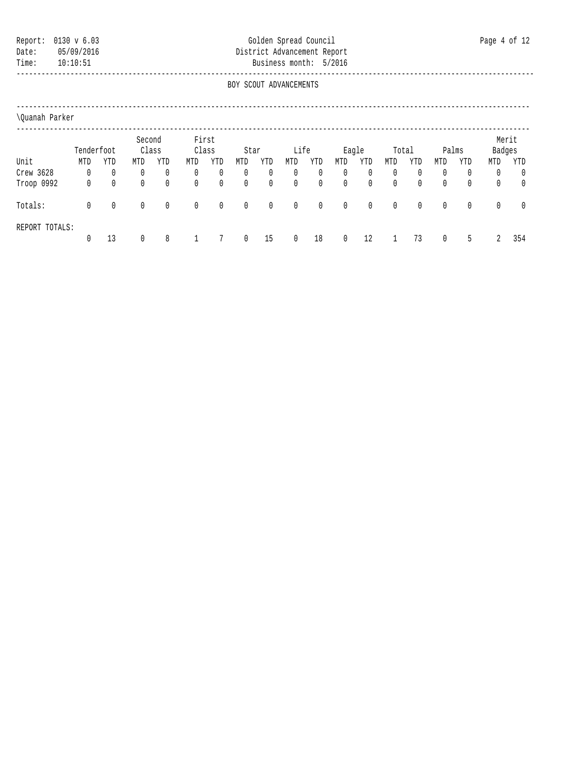## Report: 0130 v 6.03 Golden Spread Council Page 4 of 12 Date: 05/09/2016 District Advancement Report Time: 10:10:51 Business month: 5/2016

 ----------------------------------------------------------------------------------------------------------------------------- BOY SCOUT ADVANCEMENTS

|            |              |              | Second |             |       | First |      |              |             |              |              |              |          |              |              |     | Merit        |              |
|------------|--------------|--------------|--------|-------------|-------|-------|------|--------------|-------------|--------------|--------------|--------------|----------|--------------|--------------|-----|--------------|--------------|
|            | Tenderfoot   |              | Class  |             | Class |       | Star |              | Life        |              | Eagle        |              | Total    |              | Palms        |     | Badges       |              |
| Unit       | MTD          | YTD          | MTD    | YTD         | MTD   | YTD   | MTD  | YTD          | MTD         | YTD          | MTD          | YTD          | MTD      | YTD          | MTD          | YTD | MTD          | YTD          |
| Crew 3628  | 0            | $\mathbf{0}$ | 0      | 0           | 0     | 0     | 0    | 0            | 0           | 0            | $\mathbf{0}$ | $\mathbf{0}$ | $\Omega$ | 0            | 0            | 0   | 0            | $\mathbf{0}$ |
| Troop 0992 | 0            | $\mathbf{0}$ | 0      | 0           | 0     | 0     | 0    | 0            | 0           | 0            | $\mathbf{0}$ | $\mathbf{0}$ | $\Omega$ | $\mathbf{0}$ | 0            | 0   | 0            | $\mathbf{0}$ |
| Totals:    | $\mathbf{0}$ | $\mathbf{0}$ | 0      | $\mathbf 0$ | 0     | 0     | 0    | $\mathbf{0}$ | $\mathbf 0$ | $\mathbf{0}$ | $\mathbf{0}$ | $\mathbf{0}$ | $\Omega$ | 0            | $\mathbf{0}$ | 0   | $\mathbf{0}$ | 0            |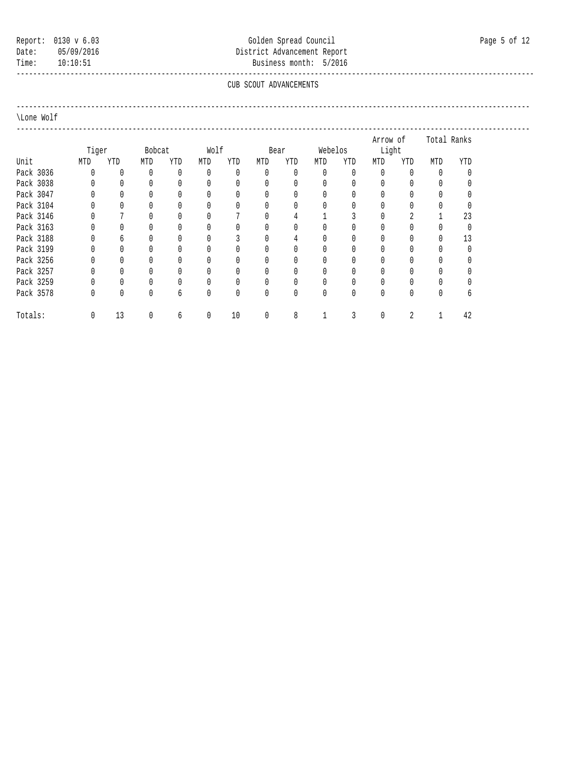## Report: 0130 v 6.03 Colden Spread Council Council Page 5 of 12 Date: 05/09/2016 District Advancement Report Time: 10:10:51 Business month: 5/2016

#### ----------------------------------------------------------------------------------------------------------------------------- CUB SCOUT ADVANCEMENTS

----------------------------------------------------------------------------------------------------------------------------

#### \Lone Wolf

 ---------------------------------------------------------------------------------------------------------------------------- Arrow of Total Ranks Tiger Bobcat Wolf Bear Webelos Light<br>The MTD To MTD To MTD To MTD To MTD To MTD To MTD To MTD Unit MTD YTD MTD YTD MTD YTD MTD YTD MTD YTD MTD YTD MTD YTD Pack 3036 0 0 0 0 0 0 0 0 0 0 0 0 0 0 Pack 3038 0 0 0 0 0 0 0 0 0 0 0 0 0 0 Pack 3047 0 0 0 0 0 0 0 0 0 0 0 0 0 0 Pack 3104 0 0 0 0 0 0 0 0 0 0 0 0 0 0 Pack 3146 0 7 0 0 0 7 0 4 1 3<br>Pack 3163 0 0 0 0 0 0 0 0 0 0 Pack 3163 0 0 0 0 0 0 0 0 0 0 0 0 0 0 Pack 3188 0 6 0 0 0 3 0 4 0 0 0 0 0 13 Pack 3199 0 0 0 0 0 0 0 0 0 0 0 0 0 0 Pack 3256 0 0 0 0 0 0 0 0 0 0 0 0 0 0 Pack 3257 0 0 0 0 0 0 0 0 0 0 0 0 0 0 Pack 3259 0 0 0 0 0 0 0 0 0 0 0 0 0 0 Pack 3578 0 0 0 6 0 0 0 0 0 0 0 0 0 0 0 6 Totals: 0 13 0 6 0 10 0 8 1 3 0 2 1 42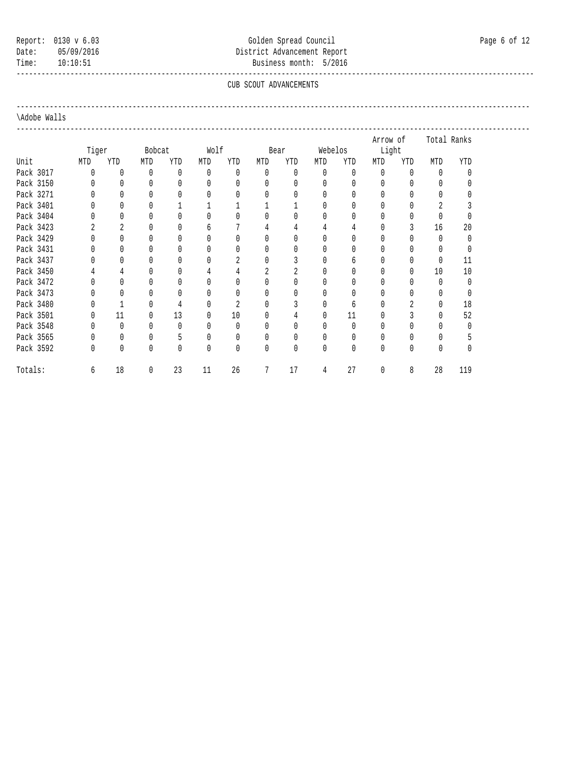## Report: 0130 v 6.03 Colden Spread Council Council Page 6 of 12 Date: 05/09/2016 District Advancement Report Time: 10:10:51 Business month: 5/2016

#### ----------------------------------------------------------------------------------------------------------------------------- CUB SCOUT ADVANCEMENTS

----------------------------------------------------------------------------------------------------------------------------

#### \Adobe Walls

 ---------------------------------------------------------------------------------------------------------------------------- Arrow of Total Ranks Tiger Bobcat Wolf Bear Webelos Light<br>The MTD To MTD To MTD To MTD To MTD To MTD To MTD To MTD MTD YTD MTD YTD MTD YTD MTD YTD MTD YTD YTD YTD YTD YTD Pack 3017 0 0 0 0 0 0 0 0 0 0 0 0 0 0 Pack 3150 0 0 0 0 0 0 0 0 0 0 0 0 0 0 Pack 3271 0 0 0 0 0 0 0 0 0 0 0 0 0 0 Pack 3401 0 0 0 1 1 1 1 1 0 0 0 0 2 3 Pack 3404 0 0 0 0 0 0 0 0 0 0 0 0 0 0 Pack 3423 2 2 0 0 6 7 4 4 4 4 0 3 16 20<br>
Pack 3429 0 0 0 0 0 0 0 0 0 0 0 0 0 0 Pack 3429 0 0 0 0 0 0 0 0 0 0 0 0 0 0 Pack 3431 0 0 0 0 0 0 0 0 0 0 0 0 0 0 Pack 3437 0 0 0 0 0 0 2 0 3 0 6 0 0 0 11 Pack 3450 4 4 0 0 4 4 2 2 0 0 0 0 10 10 Pack 3472 0 0 0 0 0 0 0 0 0 0 0 0 0 0 Pack 3473 0 0 0 0 0 0 0 0 0 0 0 0 0 0 Pack 3480 0 1 0 4 0 2 0 3 0 6 0 2 0 18 Pack 3501 0 11 0 13 0 10 0 4 0 11 0 3 0 52 Pack 3548 0 0 0 0 0 0 0 0 0 0 0 0 0 0 Pack 3565 0 0 0 5 0 0 0 0 0 0 0 0 0 0 5 5 0 0 0 0 0 0 0 0 0 5 Pack 3592 0 0 0 0 0 0 0 0 0 0 0 0 0 0 Totals: 6 18 0 23 11 26 7 17 4 27 0 8 28 119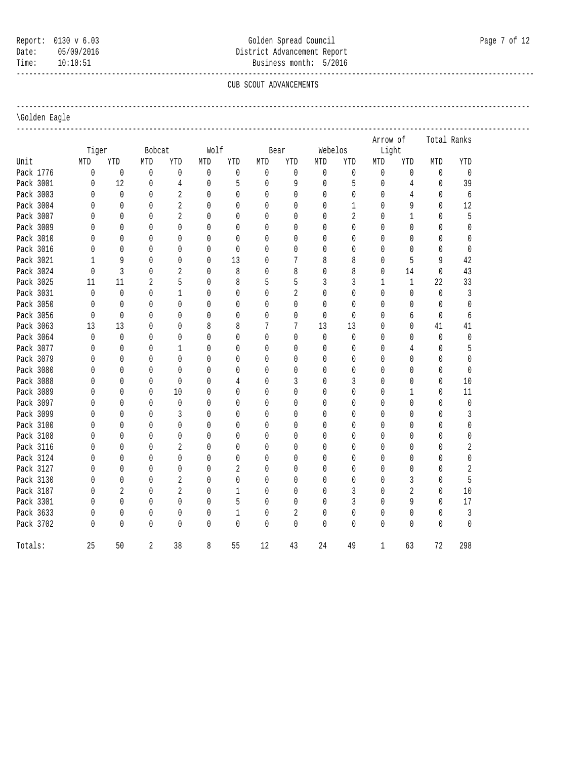# Report: 0130 v 6.03 Colden Spread Council Council Page 7 of 12 Date: 05/09/2016 District Advancement Report Time: 10:10:51 Business month: 5/2016

-----------------------------------------------------------------------------------------------------------------------------

### \Golden Eagle

|           |              |                |                  |                |              |              |              |                |              |                | Arrow of     |                | Total Ranks  |              |  |
|-----------|--------------|----------------|------------------|----------------|--------------|--------------|--------------|----------------|--------------|----------------|--------------|----------------|--------------|--------------|--|
|           | Tiger        |                | Bobcat           |                | Wolf         |              |              | Bear           | Webelos      |                | Light        |                |              |              |  |
| Unit      | MTD          | YTD            | $\texttt{MTD}{}$ | YTD            | MTD          | YTD          | MTD          | YTD            | MTD          | YTD            | MTD          | YTD            | MTD          | YTD          |  |
| Pack 1776 | $\mathbb{0}$ | $\mathbb O$    | $\mathbb O$      | 0              | $\mathbf 0$  | $\mathbf 0$  | $\mathbf 0$  | $\mathbf 0$    | $\mathbb O$  | $\mathbb O$    | $\mathbf 0$  | $\mathbf 0$    | $\mathbf 0$  | $\mathbf{0}$ |  |
| Pack 3001 | $\mathbb O$  | 12             | $\mathbb O$      | $\sqrt{4}$     | $\mathbb O$  | 5            | $\mathbf{0}$ | 9              | $\mathbb O$  | 5              | 0            | $\,4$          | $\mathbf 0$  | 39           |  |
| Pack 3003 | $\mathbf{0}$ | $\mathbf 0$    | 0                | $\sqrt{2}$     | $\mathbf 0$  | $\mathbf 0$  | $\mathbf{0}$ | $\mathbf{0}$   | $\mathbf{0}$ | $\mathbf 0$    | 0            | $\overline{4}$ | $\mathbf 0$  | 6            |  |
| Pack 3004 | 0            | $\theta$       | $\Omega$         | $\overline{2}$ | $\mathbf{0}$ | 0            | $\theta$     | $\mathbf{0}$   | $\mathbf{0}$ | $\mathbf{1}$   | $\mathbf{0}$ | 9              | $\mathbf{0}$ | 12           |  |
| Pack 3007 | 0            | $\theta$       | $\mathbf{0}$     | $\overline{2}$ | $\mathbf{0}$ | 0            | $\theta$     | $\mathbf{0}$   | $\mathbf{0}$ | $\overline{2}$ | $\mathbf{0}$ | $\mathbf{1}$   | 0            | 5            |  |
| Pack 3009 | $\Omega$     | $\Omega$       | $\Omega$         | $\Omega$       | $\mathbf{0}$ | 0            | $\Omega$     | $\mathbf{0}$   | 0            | $\mathbf{0}$   | $\mathbf{0}$ | $\theta$       | $\mathbf{0}$ | 0            |  |
| Pack 3010 | 0            | $\Omega$       | 0                | $\mathbf{0}$   | $\mathbf{0}$ | 0            | $\theta$     | $\mathbf{0}$   | 0            | 0              | 0            | $\theta$       | 0            | 0            |  |
| Pack 3016 | 0            | $\Omega$       | $\Omega$         | $\Omega$       | $\mathbf{0}$ | 0            | $\theta$     | $\mathbf{0}$   | 0            | 0              | 0            | $\theta$       | 0            | 0            |  |
| Pack 3021 | $\mathbf{1}$ | 9              | 0                | 0              | $\mathbf{0}$ | 13           | $\theta$     | 7              | 8            | 8              | 0            | 5              | 9            | 42           |  |
| Pack 3024 | 0            | 3              | 0                | 2              | $\mathbf{0}$ | 8            | $\theta$     | 8              | $\mathbf{0}$ | 8              | $\mathbf{0}$ | 14             | 0            | 43           |  |
| Pack 3025 | 11           | 11             | $\overline{2}$   | 5              | $\mathbf{0}$ | 8            | 5            | 5              | 3            | 3              | $\mathbf{1}$ | $\mathbf{1}$   | 22           | 33           |  |
| Pack 3031 | $\mathbf{0}$ | $\Omega$       | $\mathbf{0}$     | $\mathbf{1}$   | $\mathbf{0}$ | $\Omega$     | $\mathbf{0}$ | $\overline{2}$ | $\mathbf{0}$ | $\mathbf 0$    | 0            | $\mathbf{0}$   | $\mathbf 0$  | 3            |  |
| Pack 3050 | 0            | $\theta$       | 0                | 0              | $\mathbf{0}$ | 0            | $\mathbf{0}$ | $\mathbf{0}$   | $\mathbf{0}$ | 0              | 0            | 0              | 0            | 0            |  |
| Pack 3056 | 0            | $\mathbf{0}$   | 0                | 0              | $\mathbf{0}$ | 0            | $\mathbf{0}$ | $\mathbf{0}$   | $\theta$     | $\mathbf{0}$   | 0            | 6              | $\mathbf 0$  | 6            |  |
| Pack 3063 | 13           | 13             | $\Omega$         | $\mathbf{0}$   | 8            | 8            | 7            | 7              | 13           | 13             | 0            | $\theta$       | 41           | 41           |  |
| Pack 3064 | $\mathbf 0$  | $\mathbf{0}$   | 0                | $\mathbf{0}$   | $\mathbf{0}$ | $\mathbf{0}$ | $\mathbf{0}$ | $\mathbf{0}$   | 0            | 0              | 0            | $\theta$       | $\mathbf 0$  | $\mathbf 0$  |  |
| Pack 3077 | 0            | $\mathbf{0}$   | $\mathbf{0}$     | $\mathbf{1}$   | $\mathbf{0}$ | 0            | $\theta$     | $\mathbf{0}$   | 0            | 0              | $\mathbf{0}$ | 4              | $\mathbf{0}$ | 5            |  |
| Pack 3079 | 0            | 0              | 0                | 0              | $\mathbf{0}$ | $\mathbf{0}$ | $\mathbf{0}$ | $\mathbf{0}$   | 0            | $\mathbb O$    | 0            | $\theta$       | 0            | 0            |  |
| Pack 3080 | 0            | $\theta$       | 0                | $\mathbf{0}$   | $\mathbf{0}$ | 0            | $\mathbf{0}$ | $\mathbf{0}$   | 0            | 0              | $\mathbf{0}$ | $\theta$       | 0            | 0            |  |
| Pack 3088 | 0            | $\mathbf{0}$   | $\mathbf 0$      | $\mathbf 0$    | $\mathbf 0$  | 4            | $\mathbf{0}$ | $\mathfrak{Z}$ | $\mathbf{0}$ | 3              | 0            | $\mathbf{0}$   | $\mathbf 0$  | $10$         |  |
| Pack 3089 | 0            | $\theta$       | 0                | 10             | $\mathbf{0}$ | 0            | $\theta$     | $\mathbf{0}$   | 0            | 0              | 0            | 1              | 0            | 11           |  |
| Pack 3097 | 0            | $\theta$       | $\mathbf{0}$     | 0              | $\mathbf{0}$ | 0            | $\theta$     | $\mathbf{0}$   | 0            | 0              | 0            | $\theta$       | 0            | $\mathbb{0}$ |  |
| Pack 3099 | 0            | $\theta$       | $\mathbf{0}$     | 3              | $\mathbf{0}$ | 0            | $\theta$     | $\mathbf{0}$   | $\mathbf{0}$ | 0              | $\mathbf{0}$ | $\mathbf{0}$   | $\mathbf 0$  | 3            |  |
| Pack 3100 | 0            | $\theta$       | 0                | $\mathbf{0}$   | $\mathbf{0}$ | 0            | $\theta$     | 0              | 0            | 0              | 0            | $\theta$       | 0            | 0            |  |
| Pack 3108 | 0            | $\Omega$       | $\Omega$         | $\mathbf{0}$   | $\mathbf{0}$ | 0            | $\theta$     | $\mathbf{0}$   | 0            | 0              | 0            | $\theta$       | 0            | 0            |  |
| Pack 3116 | 0            | $\mathbf{0}$   | 0                | $\overline{2}$ | 0            | 0            | $\theta$     | $\mathbf{0}$   | 0            | 0              | $\mathbf{0}$ | $\theta$       | 0            | 2            |  |
| Pack 3124 | 0            | $\mathbf{0}$   | 0                | 0              | $\mathbf{0}$ | 0            | $\theta$     | 0              | $\mathbf{0}$ | 0              | 0            | $\theta$       | 0            | 0            |  |
| Pack 3127 | 0            | $\Omega$       | 0                | 0              | $\mathbf{0}$ | 2            | $\theta$     | $\mathbf{0}$   | 0            | 0              | $\mathbf{0}$ | $\theta$       | 0            | 2            |  |
| Pack 3130 | 0            | $\mathbf{0}$   | $\mathbf{0}$     | $\overline{2}$ | $\mathbf{0}$ | $\mathbf{0}$ | $\mathbf{0}$ | $\mathbf{0}$   | 0            | $\mathbf 0$    | 0            | 3              | $\mathbf 0$  | 5            |  |
| Pack 3187 | 0            | $\overline{2}$ | $\Omega$         | $\overline{2}$ | $\mathbf{0}$ | $\mathbf{1}$ | $\Omega$     | $\mathbf{0}$   | 0            | 3              | $\mathbf{0}$ | $\sqrt{2}$     | 0            | 10           |  |
| Pack 3301 | 0            | $\mathbf{0}$   | 0                | 0              | $\mathbf{0}$ | 5            | $\theta$     | $\mathbf{0}$   | 0            | $\mathfrak{Z}$ | 0            | 9              | 0            | 17           |  |
| Pack 3633 | 0            | $\theta$       | 0                | 0              | 0            | $\mathbf{1}$ | $\theta$     | $\overline{2}$ | 0            | 0              | 0            | 0              | 0            | $\sqrt{3}$   |  |
| Pack 3702 | 0            | $\mathbf{0}$   | $\mathbf{0}$     | $\mathbf{0}$   | 0            | $\mathbf{0}$ | $\mathbf{0}$ | $\mathbf{0}$   | 0            | 0              | 0            | $\mathbf 0$    | 0            | 0            |  |
| Totals:   | 25           | 50             | $\overline{2}$   | 38             | 8            | 55           | 12           | 43             | 24           | 49             | $\mathbf{1}$ | 63             | 72           | 298          |  |

## CUB SCOUT ADVANCEMENTS

----------------------------------------------------------------------------------------------------------------------------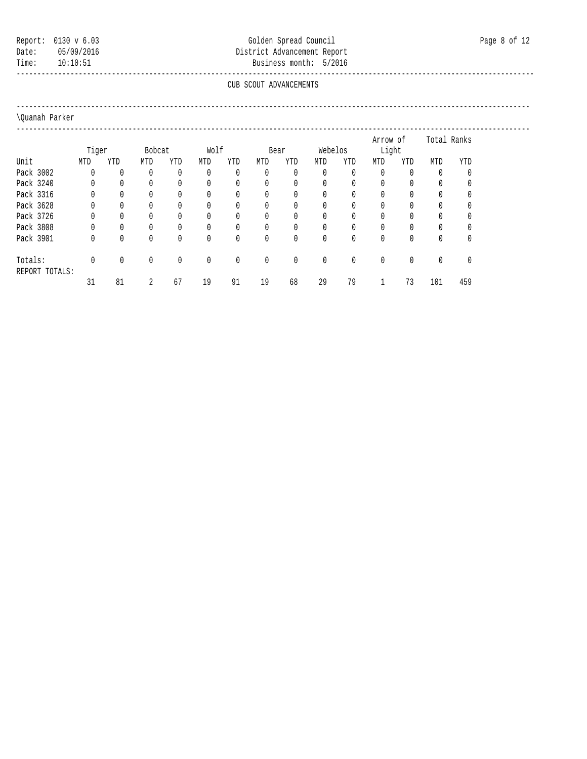## Report: 0130 v 6.03 Colden Spread Council Council Page 8 of 12 Date: 05/09/2016 District Advancement Report Time: 10:10:51 Business month: 5/2016

### ----------------------------------------------------------------------------------------------------------------------------- CUB SCOUT ADVANCEMENTS

----------------------------------------------------------------------------------------------------------------------------

## \Quanah Parker

 ---------------------------------------------------------------------------------------------------------------------------- Arrow of Total Ranks Tiger Bobcat Wolf Bear Webelos Light Unit MTD YTD MTD YTD MTD YTD MTD YTD MTD YTD MTD YTD MTD YTD Pack 3002 0 0 0 0 0 0 0 0 0 0 0 0 0 0 Pack 3240 0 0 0 0 0 0 0 0 0 0 0 0 0 0 Pack 3316 0 0 0 0 0 0 0 0 0 0 0 0 0 0 Pack 3628 0 0 0 0 0 0 0 0 0 0 0 0 0 0 Pack 3726 0 0 0 0 0 0 0 0 0 0 0 0 0 0 Pack 3808 0 0 0 0 0 0 0 0 0 0 0 0 0 0 Pack 3901 0 0 0 0 0 0 0 0 0 0 0 0 0 0 Totals: 0 0 0 0 0 0 0 0 0 0 0 0 0 0 REPORT TOTALS: 31 81 2 67 19 91 19 68 29 79 1 73 101 459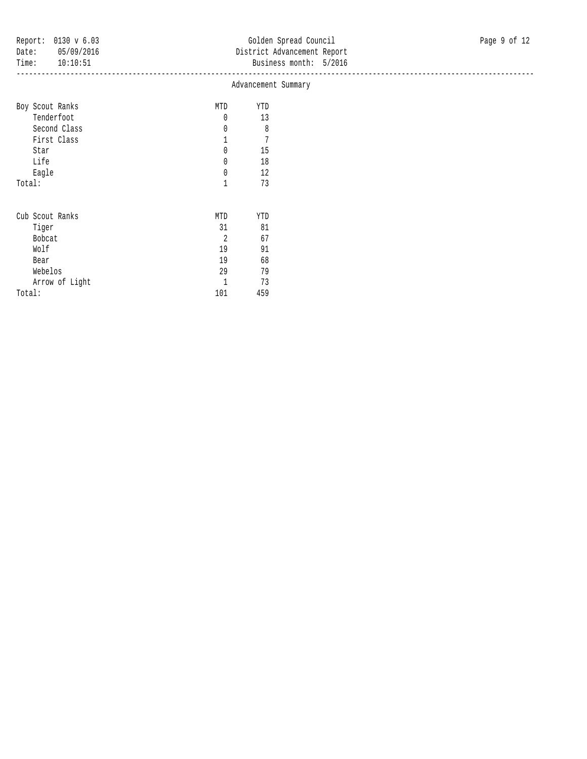|                 |                | Advancement Summary |  |  |  |
|-----------------|----------------|---------------------|--|--|--|
| Boy Scout Ranks | MTD            | YTD                 |  |  |  |
| Tenderfoot      | 0              | 13                  |  |  |  |
| Second Class    | 0              | 8                   |  |  |  |
| First Class     |                | 7                   |  |  |  |
| Star            | 0              | 15                  |  |  |  |
| Life            | 0              | 18                  |  |  |  |
| Eagle           | 0              | 12                  |  |  |  |
| Total:          | 1              | 73                  |  |  |  |
| Cub Scout Ranks | MTD            | YTD                 |  |  |  |
| Tiger           | 31             | 81                  |  |  |  |
| Bobcat          | $\overline{2}$ | 67                  |  |  |  |
| Wolf            | 19             | 91                  |  |  |  |
| Bear            | 19             | 68                  |  |  |  |
| Webelos         | 29             | 79                  |  |  |  |
| Arrow of Light  | T              | 73                  |  |  |  |
| Total:          | 101            | 459                 |  |  |  |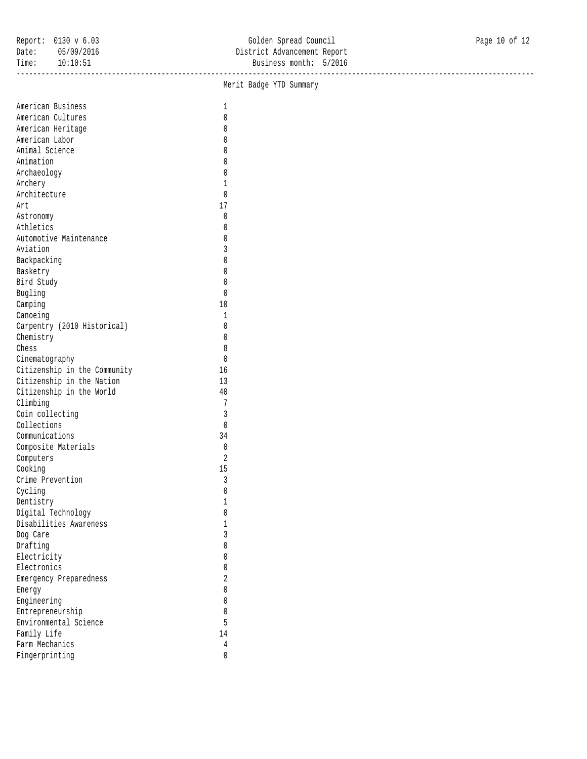|                              | Merit Badge YTD Summary |  |
|------------------------------|-------------------------|--|
| American Business            | $\mathbf{1}$            |  |
| American Cultures            | 0                       |  |
| American Heritage            | 0                       |  |
| American Labor               | 0                       |  |
| Animal Science               | $\mathbf{0}$            |  |
| Animation                    | 0                       |  |
| Archaeology                  | 0                       |  |
| Archery                      | $\mathbf{1}$            |  |
| Architecture                 | $\mathbf 0$             |  |
| Art                          | 17                      |  |
|                              | $\mathbf 0$             |  |
| Astronomy<br>Athletics       | 0                       |  |
| Automotive Maintenance       |                         |  |
|                              | 0                       |  |
| Aviation                     | 3                       |  |
| Backpacking                  | 0                       |  |
| Basketry                     | $\mathbf{0}$            |  |
| Bird Study                   | 0                       |  |
| Bugling                      | $\mathbf{0}$            |  |
| Camping                      | $10\,$                  |  |
| Canoeing                     | $\mathbf{1}$            |  |
| Carpentry (2010 Historical)  | 0                       |  |
| Chemistry                    | 0                       |  |
| Chess                        | 8                       |  |
| Cinematography               | $\mathbf{0}$            |  |
| Citizenship in the Community | 16                      |  |
| Citizenship in the Nation    | 13                      |  |
| Citizenship in the World     | $40\,$                  |  |
| Climbing                     | 7                       |  |
| Coin collecting              | $\mathfrak{Z}$          |  |
| Collections                  | $\mathbb O$             |  |
| Communications               | 34                      |  |
| Composite Materials          | $\mathbf 0$             |  |
| Computers                    | $\overline{2}$          |  |
| Cooking                      | 15                      |  |
| Crime Prevention             | $\mathfrak{Z}$          |  |
| Cycling                      | $\mathbb O$             |  |
| Dentistry                    | 1                       |  |
| Digital Technology           | $\mathbf{0}$            |  |
| Disabilities Awareness       | 1                       |  |
| Dog Care                     | 3                       |  |
| Drafting                     | 0                       |  |
| Electricity                  | 0                       |  |
| Electronics                  | 0                       |  |
| Emergency Preparedness       | 2                       |  |
| Energy                       | 0                       |  |
|                              | 0                       |  |
| Engineering                  |                         |  |
| Entrepreneurship             | 0                       |  |
| Environmental Science        | 5                       |  |
| Family Life                  | 14                      |  |
| Farm Mechanics               | 4                       |  |
| Fingerprinting               | 0                       |  |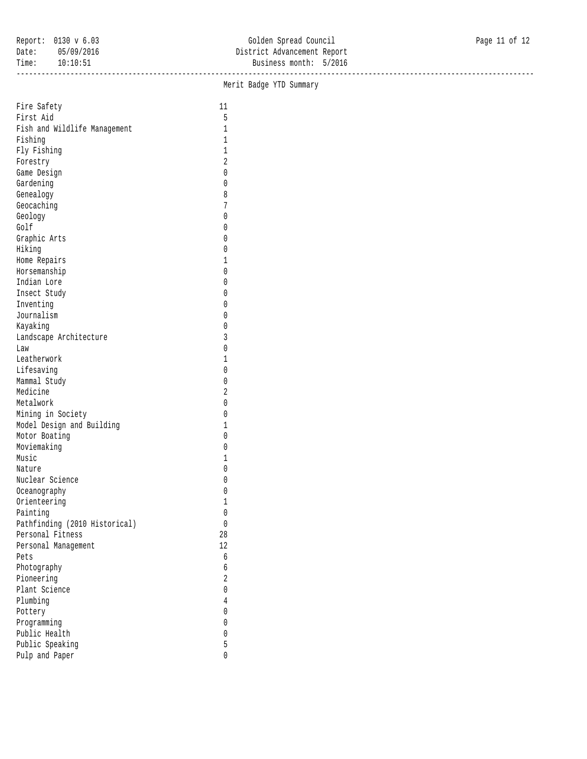|                               |                  | Merit Badge YTD Summary |  |
|-------------------------------|------------------|-------------------------|--|
| Fire Safety                   | $11\,$           |                         |  |
| First Aid                     | 5                |                         |  |
| Fish and Wildlife Management  | $1\,$            |                         |  |
| Fishing                       | $\mathbf{1}$     |                         |  |
| Fly Fishing                   | $\mathbf 1$      |                         |  |
| Forestry                      | 2                |                         |  |
| Game Design                   | 0                |                         |  |
| Gardening                     | 0                |                         |  |
| Genealogy                     | 8                |                         |  |
| Geocaching                    | 7                |                         |  |
| Geology                       | 0                |                         |  |
| Golf                          | 0                |                         |  |
| Graphic Arts                  | 0                |                         |  |
| Hiking                        | 0                |                         |  |
|                               | 1                |                         |  |
| Home Repairs                  |                  |                         |  |
| Horsemanship<br>Indian Lore   | 0<br>0           |                         |  |
|                               |                  |                         |  |
| Insect Study                  | 0                |                         |  |
| Inventing                     | 0                |                         |  |
| Journalism                    | 0                |                         |  |
| Kayaking                      | 0                |                         |  |
| Landscape Architecture        | 3                |                         |  |
| Law                           | 0                |                         |  |
| Leatherwork                   | 1                |                         |  |
| Lifesaving                    | 0                |                         |  |
| Mammal Study                  | 0                |                         |  |
| Medicine                      | $\sqrt{2}$       |                         |  |
| Metalwork                     | 0                |                         |  |
| Mining in Society             | 0                |                         |  |
| Model Design and Building     | 1                |                         |  |
| Motor Boating                 | 0                |                         |  |
| Moviemaking                   | 0                |                         |  |
| Music                         | 1                |                         |  |
| Nature                        | 0                |                         |  |
| Nuclear Science               | 0                |                         |  |
| Oceanography                  | 0                |                         |  |
| Orienteering                  | T                |                         |  |
| Painting                      | 0                |                         |  |
| Pathfinding (2010 Historical) | 0                |                         |  |
| Personal Fitness              | $2\,8$           |                         |  |
| Personal Management           | 12               |                         |  |
| Pets                          | $\boldsymbol{6}$ |                         |  |
| Photography                   | б                |                         |  |
| Pioneering                    | $\overline{c}$   |                         |  |
| Plant Science                 | 0                |                         |  |
| Plumbing                      | 4                |                         |  |
| Pottery                       | 0                |                         |  |
| Programming                   | 0                |                         |  |
| Public Health                 | 0                |                         |  |
| Public Speaking               | 5                |                         |  |
| Pulp and Paper                | 0                |                         |  |